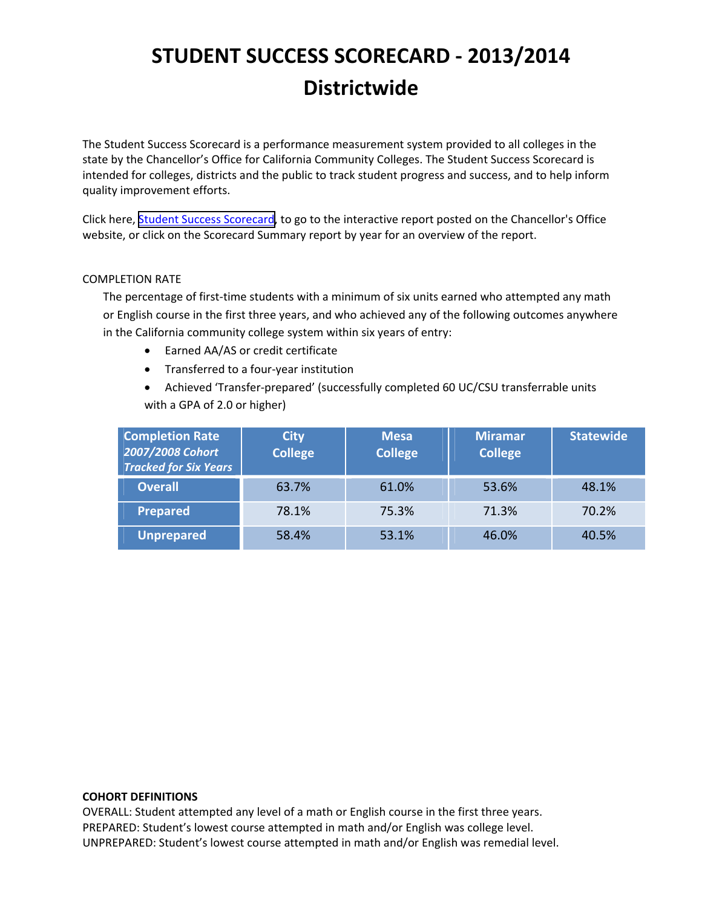The Student Success Scorecard is a performance measurement system provided to all colleges in the state by the Chancellor's Office for California Community Colleges. The Student Success Scorecard is intended for colleges, districts and the public to track student progress and success, and to help inform quality improvement efforts.

Click here, Student Success [Scorecard,](http://scorecard.cccco.edu/scorecard.aspx) to go to the interactive report posted on the Chancellor's Office website, or click on the Scorecard Summary report by year for an overview of the report.

## COMPLETION RATE

The percentage of first-time students with a minimum of six units earned who attempted any math or English course in the first three years, and who achieved any of the following outcomes anywhere in the California community college system within six years of entry:

- Earned AA/AS or credit certificate
- Transferred to a four‐year institution
- Achieved 'Transfer‐prepared' (successfully completed 60 UC/CSU transferrable units with a GPA of 2.0 or higher)

| <b>Completion Rate</b><br>2007/2008 Cohort<br><b>Tracked for Six Years</b> | <b>City</b><br><b>College</b> | <b>Mesa</b><br><b>College</b> | <b>Miramar</b><br><b>College</b> | <b>Statewide</b> |
|----------------------------------------------------------------------------|-------------------------------|-------------------------------|----------------------------------|------------------|
| <b>Overall</b>                                                             | 63.7%                         | 61.0%                         | 53.6%                            | 48.1%            |
| <b>Prepared</b>                                                            | 78.1%                         | 75.3%                         | 71.3%                            | 70.2%            |
| <b>Unprepared</b>                                                          | 58.4%                         | 53.1%                         | 46.0%                            | 40.5%            |

### **COHORT DEFINITIONS**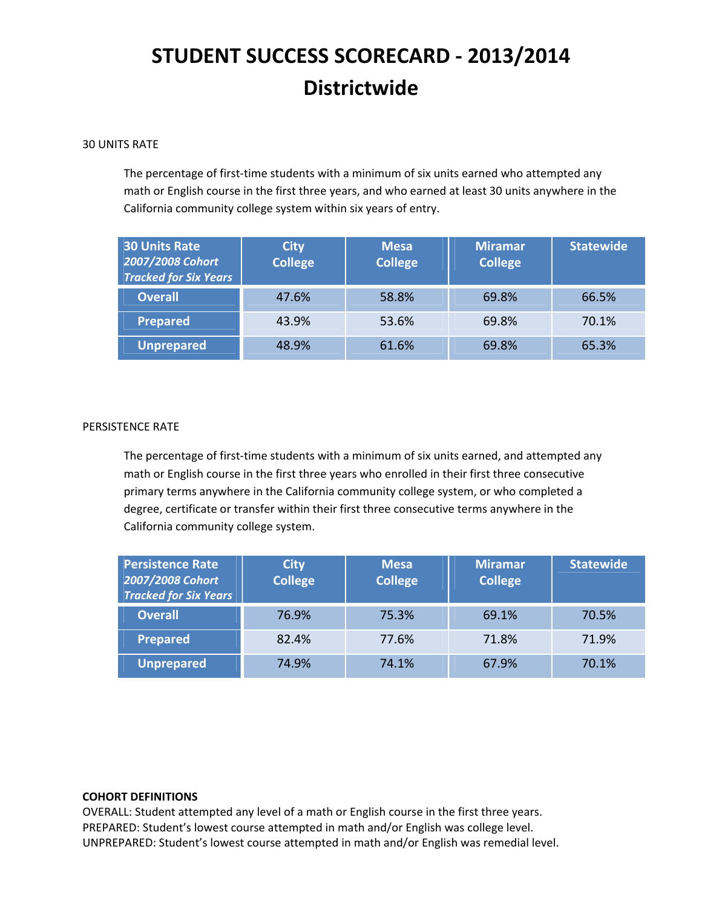## 30 UNITS RATE

The percentage of first-time students with a minimum of six units earned who attempted any math or English course in the first three years, and who earned at least 30 units anywhere in the California community college system within six years of entry.

| <b>30 Units Rate</b><br>2007/2008 Cohort<br><b>Tracked for Six Years</b> | <b>City</b><br><b>College</b> | <b>Mesa</b><br><b>College</b> | <b>Miramar</b><br><b>College</b> | <b>Statewide</b> |
|--------------------------------------------------------------------------|-------------------------------|-------------------------------|----------------------------------|------------------|
| <b>Overall</b>                                                           | 47.6%                         | 58.8%                         | 69.8%                            | 66.5%            |
| <b>Prepared</b>                                                          | 43.9%                         | 53.6%                         | 69.8%                            | 70.1%            |
| Unprepared                                                               | 48.9%                         | 61.6%                         | 69.8%                            | 65.3%            |

### PERSISTENCE RATE

The percentage of first-time students with a minimum of six units earned, and attempted any math or English course in the first three years who enrolled in their first three consecutive primary terms anywhere in the California community college system, or who completed a degree, certificate or transfer within their first three consecutive terms anywhere in the California community college system.

| <b>Persistence Rate</b><br>2007/2008 Cohort<br><b>Tracked for Six Years</b> | <b>City</b><br><b>College</b> | <b>Mesa</b><br><b>College</b> | <b>Miramar</b><br><b>College</b> | <b>Statewide</b> |
|-----------------------------------------------------------------------------|-------------------------------|-------------------------------|----------------------------------|------------------|
| <b>Overall</b>                                                              | 76.9%                         | 75.3%                         | 69.1%                            | 70.5%            |
| <b>Prepared</b>                                                             | 82.4%                         | 77.6%                         | 71.8%                            | 71.9%            |
| <b>Unprepared</b>                                                           | 74.9%                         | 74.1%                         | 67.9%                            | 70.1%            |

### **COHORT DEFINITIONS**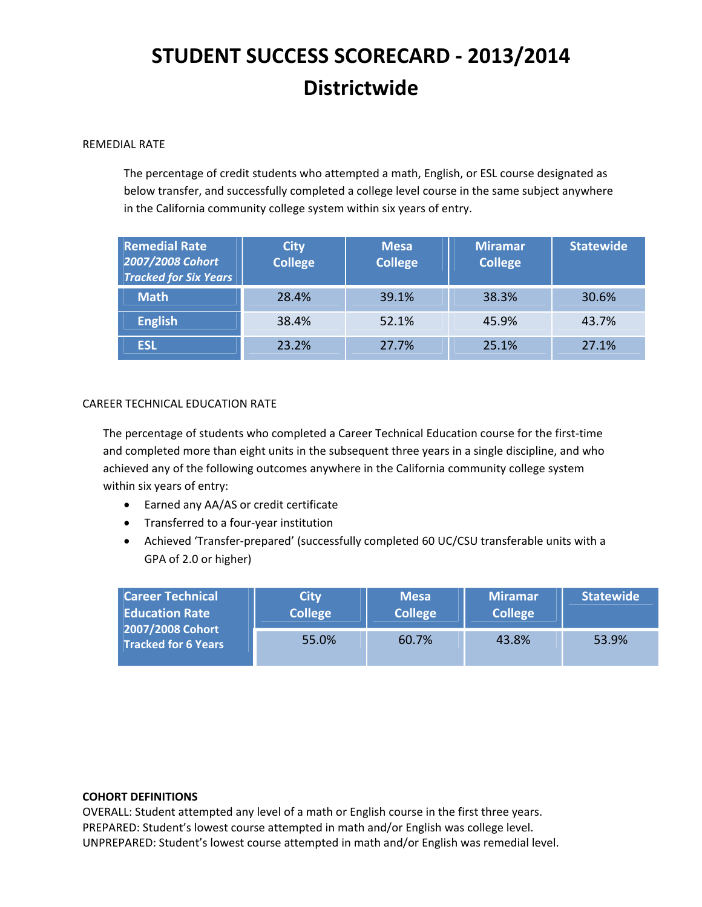## REMEDIAL RATE

The percentage of credit students who attempted a math, English, or ESL course designated as below transfer, and successfully completed a college level course in the same subject anywhere in the California community college system within six years of entry.

| <b>Remedial Rate</b><br>2007/2008 Cohort<br><b>Tracked for Six Years</b> | <b>City</b><br><b>College</b> | <b>Mesa</b><br><b>College</b> | <b>Miramar</b><br><b>College</b> | <b>Statewide</b> |
|--------------------------------------------------------------------------|-------------------------------|-------------------------------|----------------------------------|------------------|
| <b>Math</b>                                                              | 28.4%                         | 39.1%                         | 38.3%                            | 30.6%            |
| <b>English</b>                                                           | 38.4%                         | 52.1%                         | 45.9%                            | 43.7%            |
| <b>ESL</b>                                                               | 23.2%                         | 27.7%                         | 25.1%                            | 27.1%            |

## CAREER TECHNICAL EDUCATION RATE

The percentage of students who completed a Career Technical Education course for the first‐time and completed more than eight units in the subsequent three years in a single discipline, and who achieved any of the following outcomes anywhere in the California community college system within six years of entry:

- Earned any AA/AS or credit certificate
- Transferred to a four‐year institution
- Achieved 'Transfer-prepared' (successfully completed 60 UC/CSU transferable units with a GPA of 2.0 or higher)

| <b>Career Technical</b><br><b>Education Rate</b><br>2007/2008 Cohort<br><b>Tracked for 6 Years</b> | <b>City</b><br><b>College</b> | <b>Mesa</b><br><b>College</b> | <b>Miramar</b><br><b>College</b> | <b>Statewide</b> |
|----------------------------------------------------------------------------------------------------|-------------------------------|-------------------------------|----------------------------------|------------------|
|                                                                                                    | 55.0%                         | 60.7%                         | 43.8%                            | 53.9%            |

### **COHORT DEFINITIONS**